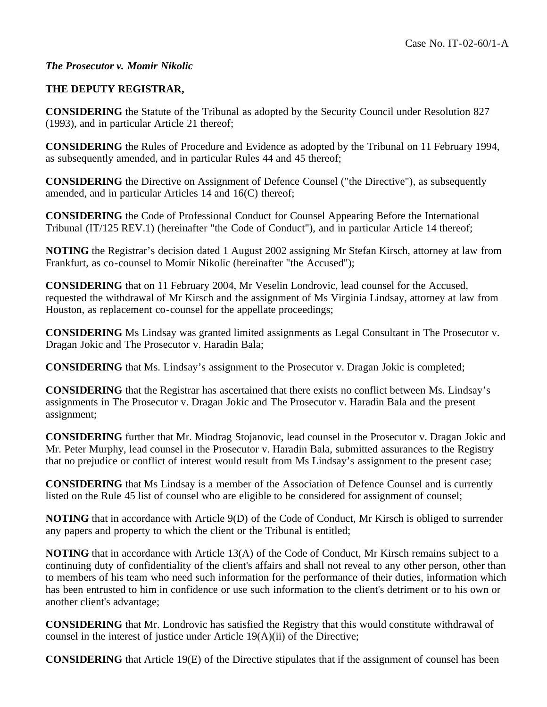## *The Prosecutor v. Momir Nikolic*

## **THE DEPUTY REGISTRAR,**

**CONSIDERING** the Statute of the Tribunal as adopted by the Security Council under Resolution 827 (1993), and in particular Article 21 thereof;

**CONSIDERING** the Rules of Procedure and Evidence as adopted by the Tribunal on 11 February 1994, as subsequently amended, and in particular Rules 44 and 45 thereof;

**CONSIDERING** the Directive on Assignment of Defence Counsel ("the Directive"), as subsequently amended, and in particular Articles 14 and 16(C) thereof;

**CONSIDERING** the Code of Professional Conduct for Counsel Appearing Before the International Tribunal (IT/125 REV.1) (hereinafter "the Code of Conduct"), and in particular Article 14 thereof;

**NOTING** the Registrar's decision dated 1 August 2002 assigning Mr Stefan Kirsch, attorney at law from Frankfurt, as co-counsel to Momir Nikolic (hereinafter "the Accused");

**CONSIDERING** that on 11 February 2004, Mr Veselin Londrovic, lead counsel for the Accused, requested the withdrawal of Mr Kirsch and the assignment of Ms Virginia Lindsay, attorney at law from Houston, as replacement co-counsel for the appellate proceedings;

**CONSIDERING** Ms Lindsay was granted limited assignments as Legal Consultant in The Prosecutor v. Dragan Jokic and The Prosecutor v. Haradin Bala;

**CONSIDERING** that Ms. Lindsay's assignment to the Prosecutor v. Dragan Jokic is completed;

**CONSIDERING** that the Registrar has ascertained that there exists no conflict between Ms. Lindsay's assignments in The Prosecutor v. Dragan Jokic and The Prosecutor v. Haradin Bala and the present assignment;

**CONSIDERING** further that Mr. Miodrag Stojanovic, lead counsel in the Prosecutor v. Dragan Jokic and Mr. Peter Murphy, lead counsel in the Prosecutor v. Haradin Bala, submitted assurances to the Registry that no prejudice or conflict of interest would result from Ms Lindsay's assignment to the present case;

**CONSIDERING** that Ms Lindsay is a member of the Association of Defence Counsel and is currently listed on the Rule 45 list of counsel who are eligible to be considered for assignment of counsel;

**NOTING** that in accordance with Article 9(D) of the Code of Conduct, Mr Kirsch is obliged to surrender any papers and property to which the client or the Tribunal is entitled;

**NOTING** that in accordance with Article 13(A) of the Code of Conduct, Mr Kirsch remains subject to a continuing duty of confidentiality of the client's affairs and shall not reveal to any other person, other than to members of his team who need such information for the performance of their duties, information which has been entrusted to him in confidence or use such information to the client's detriment or to his own or another client's advantage;

**CONSIDERING** that Mr. Londrovic has satisfied the Registry that this would constitute withdrawal of counsel in the interest of justice under Article 19(A)(ii) of the Directive;

**CONSIDERING** that Article 19(E) of the Directive stipulates that if the assignment of counsel has been